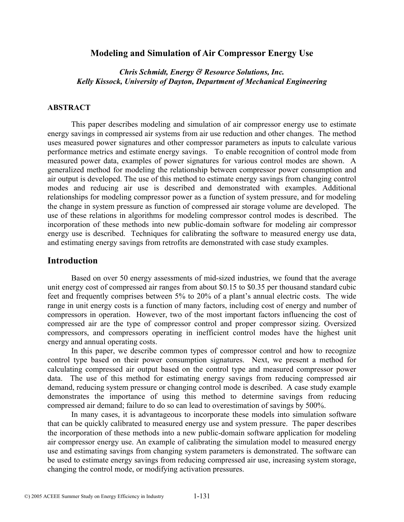# **Modeling and Simulation of Air Compressor Energy Use**

# *Chris Schmidt, Energy & Resource Solutions, Inc. Kelly Kissock, University of Dayton, Department of Mechanical Engineering*

#### **ABSTRACT**

This paper describes modeling and simulation of air compressor energy use to estimate energy savings in compressed air systems from air use reduction and other changes. The method uses measured power signatures and other compressor parameters as inputs to calculate various performance metrics and estimate energy savings. To enable recognition of control mode from measured power data, examples of power signatures for various control modes are shown. A generalized method for modeling the relationship between compressor power consumption and air output is developed. The use of this method to estimate energy savings from changing control modes and reducing air use is described and demonstrated with examples. Additional relationships for modeling compressor power as a function of system pressure, and for modeling the change in system pressure as function of compressed air storage volume are developed. The use of these relations in algorithms for modeling compressor control modes is described. The incorporation of these methods into new public-domain software for modeling air compressor energy use is described. Techniques for calibrating the software to measured energy use data, and estimating energy savings from retrofits are demonstrated with case study examples.

#### **Introduction**

Based on over 50 energy assessments of mid-sized industries, we found that the average unit energy cost of compressed air ranges from about \$0.15 to \$0.35 per thousand standard cubic feet and frequently comprises between 5% to 20% of a plant's annual electric costs. The wide range in unit energy costs is a function of many factors, including cost of energy and number of compressors in operation. However, two of the most important factors influencing the cost of compressed air are the type of compressor control and proper compressor sizing. Oversized compressors, and compressors operating in inefficient control modes have the highest unit energy and annual operating costs.

In this paper, we describe common types of compressor control and how to recognize control type based on their power consumption signatures. Next, we present a method for calculating compressed air output based on the control type and measured compressor power data. The use of this method for estimating energy savings from reducing compressed air demand, reducing system pressure or changing control mode is described. A case study example demonstrates the importance of using this method to determine savings from reducing compressed air demand; failure to do so can lead to overestimation of savings by 500%.

In many cases, it is advantageous to incorporate these models into simulation software that can be quickly calibrated to measured energy use and system pressure. The paper describes the incorporation of these methods into a new public-domain software application for modeling air compressor energy use. An example of calibrating the simulation model to measured energy use and estimating savings from changing system parameters is demonstrated. The software can be used to estimate energy savings from reducing compressed air use, increasing system storage, changing the control mode, or modifying activation pressures.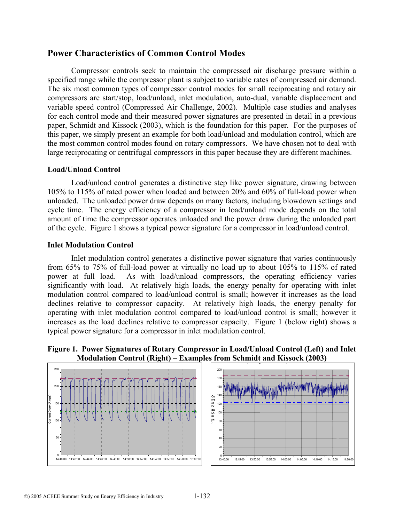# **Power Characteristics of Common Control Modes**

Compressor controls seek to maintain the compressed air discharge pressure within a specified range while the compressor plant is subject to variable rates of compressed air demand. The six most common types of compressor control modes for small reciprocating and rotary air compressors are start/stop, load/unload, inlet modulation, auto-dual, variable displacement and variable speed control (Compressed Air Challenge, 2002). Multiple case studies and analyses for each control mode and their measured power signatures are presented in detail in a previous paper, Schmidt and Kissock (2003), which is the foundation for this paper. For the purposes of this paper, we simply present an example for both load/unload and modulation control, which are the most common control modes found on rotary compressors. We have chosen not to deal with large reciprocating or centrifugal compressors in this paper because they are different machines.

## **Load/Unload Control**

Load/unload control generates a distinctive step like power signature, drawing between 105% to 115% of rated power when loaded and between 20% and 60% of full-load power when unloaded. The unloaded power draw depends on many factors, including blowdown settings and cycle time. The energy efficiency of a compressor in load/unload mode depends on the total amount of time the compressor operates unloaded and the power draw during the unloaded part of the cycle. Figure 1 shows a typical power signature for a compressor in load/unload control.

## **Inlet Modulation Control**

Inlet modulation control generates a distinctive power signature that varies continuously from 65% to 75% of full-load power at virtually no load up to about 105% to 115% of rated power at full load. As with load/unload compressors, the operating efficiency varies significantly with load. At relatively high loads, the energy penalty for operating with inlet modulation control compared to load/unload control is small; however it increases as the load declines relative to compressor capacity. At relatively high loads, the energy penalty for operating with inlet modulation control compared to load/unload control is small; however it increases as the load declines relative to compressor capacity. Figure 1 (below right) shows a typical power signature for a compressor in inlet modulation control.

**Figure 1. Power Signatures of Rotary Compressor in Load/Unload Control (Left) and Inlet Modulation Control (Right) – Examples from Schmidt and Kissock (2003)** 

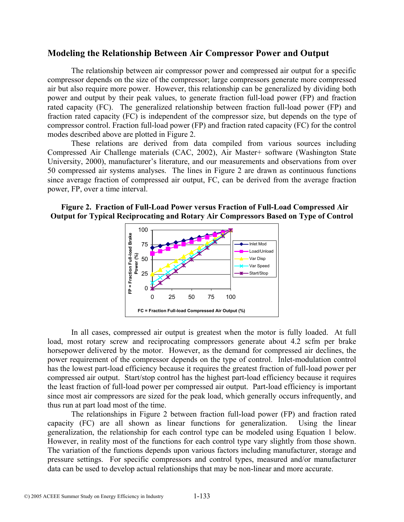# **Modeling the Relationship Between Air Compressor Power and Output**

The relationship between air compressor power and compressed air output for a specific compressor depends on the size of the compressor; large compressors generate more compressed air but also require more power. However, this relationship can be generalized by dividing both power and output by their peak values, to generate fraction full-load power (FP) and fraction rated capacity (FC). The generalized relationship between fraction full-load power (FP) and fraction rated capacity (FC) is independent of the compressor size, but depends on the type of compressor control. Fraction full-load power (FP) and fraction rated capacity (FC) for the control modes described above are plotted in Figure 2.

These relations are derived from data compiled from various sources including Compressed Air Challenge materials (CAC, 2002), Air Master+ software (Washington State University, 2000), manufacturer's literature, and our measurements and observations from over 50 compressed air systems analyses. The lines in Figure 2 are drawn as continuous functions since average fraction of compressed air output, FC, can be derived from the average fraction power, FP, over a time interval.

 **Figure 2. Fraction of Full-Load Power versus Fraction of Full-Load Compressed Air Output for Typical Reciprocating and Rotary Air Compressors Based on Type of Control** 



In all cases, compressed air output is greatest when the motor is fully loaded. At full load, most rotary screw and reciprocating compressors generate about 4.2 scfm per brake horsepower delivered by the motor. However, as the demand for compressed air declines, the power requirement of the compressor depends on the type of control. Inlet-modulation control has the lowest part-load efficiency because it requires the greatest fraction of full-load power per compressed air output. Start/stop control has the highest part-load efficiency because it requires the least fraction of full-load power per compressed air output. Part-load efficiency is important since most air compressors are sized for the peak load, which generally occurs infrequently, and thus run at part load most of the time.

The relationships in Figure 2 between fraction full-load power (FP) and fraction rated capacity (FC) are all shown as linear functions for generalization. Using the linear generalization, the relationship for each control type can be modeled using Equation 1 below. However, in reality most of the functions for each control type vary slightly from those shown. The variation of the functions depends upon various factors including manufacturer, storage and pressure settings. For specific compressors and control types, measured and/or manufacturer data can be used to develop actual relationships that may be non-linear and more accurate.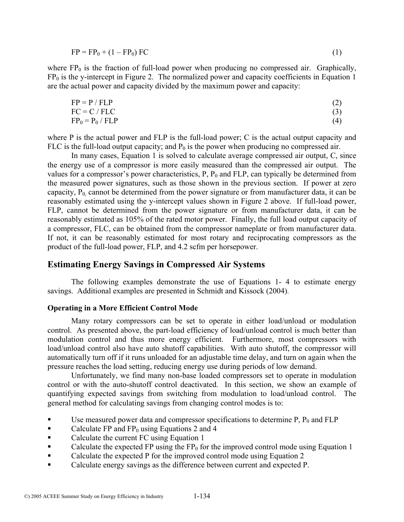$$
FP = FP0 + (1 - FP0) FC
$$
 (1)

where  $FP_0$  is the fraction of full-load power when producing no compressed air. Graphically,  $FP<sub>0</sub>$  is the y-intercept in Figure 2. The normalized power and capacity coefficients in Equation 1 are the actual power and capacity divided by the maximum power and capacity:

$$
FP = P / FLP
$$
\n
$$
FC = C / FLC
$$
\n
$$
FP_0 = P_0 / FLP
$$
\n(2)\n
$$
(3)
$$
\n(3)

where P is the actual power and FLP is the full-load power; C is the actual output capacity and FLC is the full-load output capacity; and  $P_0$  is the power when producing no compressed air.

In many cases, Equation 1 is solved to calculate average compressed air output, C, since the energy use of a compressor is more easily measured than the compressed air output. The values for a compressor's power characteristics,  $P$ ,  $P_0$  and FLP, can typically be determined from the measured power signatures, such as those shown in the previous section. If power at zero capacity,  $P_0$  cannot be determined from the power signature or from manufacturer data, it can be reasonably estimated using the y-intercept values shown in Figure 2 above. If full-load power, FLP, cannot be determined from the power signature or from manufacturer data, it can be reasonably estimated as 105% of the rated motor power. Finally, the full load output capacity of a compressor, FLC, can be obtained from the compressor nameplate or from manufacturer data. If not, it can be reasonably estimated for most rotary and reciprocating compressors as the product of the full-load power, FLP, and 4.2 scfm per horsepower.

# **Estimating Energy Savings in Compressed Air Systems**

The following examples demonstrate the use of Equations 1- 4 to estimate energy savings. Additional examples are presented in Schmidt and Kissock (2004).

#### **Operating in a More Efficient Control Mode**

Many rotary compressors can be set to operate in either load/unload or modulation control. As presented above, the part-load efficiency of load/unload control is much better than modulation control and thus more energy efficient. Furthermore, most compressors with load/unload control also have auto shutoff capabilities. With auto shutoff, the compressor will automatically turn off if it runs unloaded for an adjustable time delay, and turn on again when the pressure reaches the load setting, reducing energy use during periods of low demand.

Unfortunately, we find many non-base loaded compressors set to operate in modulation control or with the auto-shutoff control deactivated. In this section, we show an example of quantifying expected savings from switching from modulation to load/unload control. The general method for calculating savings from changing control modes is to:

- Use measured power data and compressor specifications to determine P,  $P_0$  and FLP
- Calculate FP and  $FP_0$  using Equations 2 and 4
- Calculate the current FC using Equation 1
- Calculate the expected FP using the  $FP_0$  for the improved control mode using Equation 1
- Calculate the expected P for the improved control mode using Equation 2
- Calculate energy savings as the difference between current and expected P.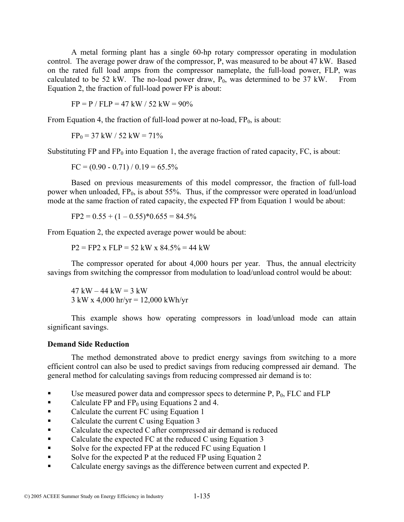A metal forming plant has a single 60-hp rotary compressor operating in modulation control. The average power draw of the compressor, P, was measured to be about 47 kW. Based on the rated full load amps from the compressor nameplate, the full-load power, FLP, was calculated to be 52 kW. The no-load power draw,  $P_0$ , was determined to be 37 kW. From Equation 2, the fraction of full-load power FP is about:

 $FP = P / FLP = 47 kW / 52 kW = 90\%$ 

From Equation 4, the fraction of full-load power at no-load,  $FP_0$ , is about:

 $FP_0 = 37$  kW / 52 kW = 71%

Substituting FP and  $FP_0$  into Equation 1, the average fraction of rated capacity, FC, is about:

 $FC = (0.90 - 0.71) / 0.19 = 65.5\%$ 

Based on previous measurements of this model compressor, the fraction of full-load power when unloaded,  $FP_0$ , is about 55%. Thus, if the compressor were operated in load/unload mode at the same fraction of rated capacity, the expected FP from Equation 1 would be about:

$$
FP2 = 0.55 + (1 - 0.55)^*0.655 = 84.5\%
$$

From Equation 2, the expected average power would be about:

 $P2 = FP2$  x  $FLP = 52$  kW x  $84.5\% = 44$  kW

The compressor operated for about 4,000 hours per year. Thus, the annual electricity savings from switching the compressor from modulation to load/unload control would be about:

 $47 \text{ kW} - 44 \text{ kW} = 3 \text{ kW}$ 3 kW x 4,000 hr/yr = 12,000 kWh/yr

This example shows how operating compressors in load/unload mode can attain significant savings.

#### **Demand Side Reduction**

The method demonstrated above to predict energy savings from switching to a more efficient control can also be used to predict savings from reducing compressed air demand. The general method for calculating savings from reducing compressed air demand is to:

- Use measured power data and compressor specs to determine  $P$ ,  $P_0$ , FLC and FLP
- Calculate FP and  $FP_0$  using Equations 2 and 4.
- Calculate the current FC using Equation 1
- Calculate the current C using Equation 3
- Calculate the expected C after compressed air demand is reduced
- Calculate the expected FC at the reduced C using Equation 3
- Solve for the expected FP at the reduced FC using Equation 1
- Solve for the expected P at the reduced FP using Equation 2
- Calculate energy savings as the difference between current and expected P.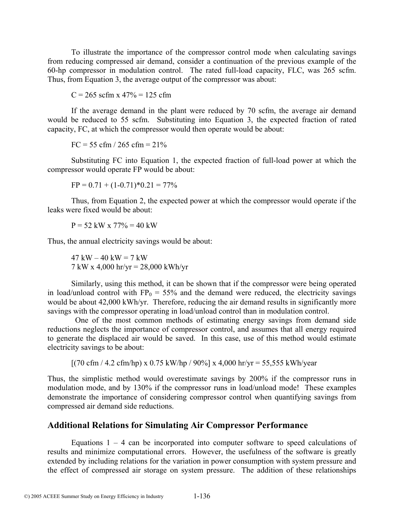To illustrate the importance of the compressor control mode when calculating savings from reducing compressed air demand, consider a continuation of the previous example of the 60-hp compressor in modulation control. The rated full-load capacity, FLC, was 265 scfm. Thus, from Equation 3, the average output of the compressor was about:

 $C = 265$  scfm x  $47\% = 125$  cfm

If the average demand in the plant were reduced by 70 scfm, the average air demand would be reduced to 55 scfm. Substituting into Equation 3, the expected fraction of rated capacity, FC, at which the compressor would then operate would be about:

 $FC = 55$  cfm  $/ 265$  cfm  $= 21\%$ 

Substituting FC into Equation 1, the expected fraction of full-load power at which the compressor would operate FP would be about:

 $FP = 0.71 + (1 - 0.71)^*0.21 = 77\%$ 

Thus, from Equation 2, the expected power at which the compressor would operate if the leaks were fixed would be about:

 $P = 52$  kW x  $77\% = 40$  kW

Thus, the annual electricity savings would be about:

 $47 \text{ kW} - 40 \text{ kW} = 7 \text{ kW}$ 7 kW x 4,000 hr/yr = 28,000 kWh/yr

Similarly, using this method, it can be shown that if the compressor were being operated in load/unload control with  $FP_0 = 55\%$  and the demand were reduced, the electricity savings would be about 42,000 kWh/yr. Therefore, reducing the air demand results in significantly more savings with the compressor operating in load/unload control than in modulation control.

 One of the most common methods of estimating energy savings from demand side reductions neglects the importance of compressor control, and assumes that all energy required to generate the displaced air would be saved. In this case, use of this method would estimate electricity savings to be about:

 $[(70 \text{ cfm} / 4.2 \text{ cfm/hp}) \times 0.75 \text{ kW/hp} / 90\%] \times 4,000 \text{ hr/yr} = 55,555 \text{ kWh/year}$ 

Thus, the simplistic method would overestimate savings by 200% if the compressor runs in modulation mode, and by 130% if the compressor runs in load/unload mode! These examples demonstrate the importance of considering compressor control when quantifying savings from compressed air demand side reductions.

## **Additional Relations for Simulating Air Compressor Performance**

Equations  $1 - 4$  can be incorporated into computer software to speed calculations of results and minimize computational errors. However, the usefulness of the software is greatly extended by including relations for the variation in power consumption with system pressure and the effect of compressed air storage on system pressure. The addition of these relationships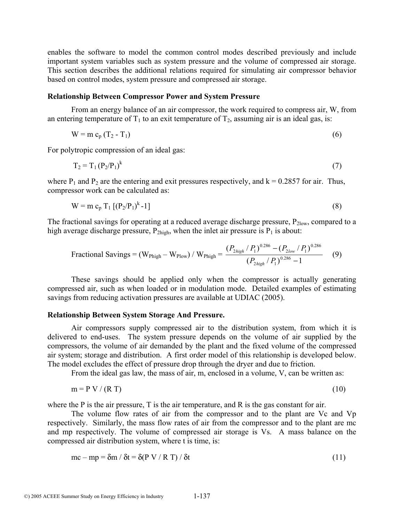enables the software to model the common control modes described previously and include important system variables such as system pressure and the volume of compressed air storage. This section describes the additional relations required for simulating air compressor behavior based on control modes, system pressure and compressed air storage.

#### **Relationship Between Compressor Power and System Pressure**

From an energy balance of an air compressor, the work required to compress air, W, from an entering temperature of  $T_1$  to an exit temperature of  $T_2$ , assuming air is an ideal gas, is:

$$
W = m cp (T2 - T1)
$$
 (6)

For polytropic compression of an ideal gas:

$$
T_2 = T_1 (P_2/P_1)^k \tag{7}
$$

where  $P_1$  and  $P_2$  are the entering and exit pressures respectively, and  $k = 0.2857$  for air. Thus, compressor work can be calculated as:

$$
W = m c_p T_1 [(P_2/P_1)^k - 1]
$$
 (8)

The fractional savings for operating at a reduced average discharge pressure,  $P_{2\text{low}}$ , compared to a high average discharge pressure,  $P_{2high}$ , when the inlet air pressure is  $P_1$  is about:

$$
\text{Fractional Savings} = (\text{W}_{\text{Phigh}} - \text{W}_{\text{Plow}}) / \text{W}_{\text{Phigh}} = \frac{(P_{\text{2high}} / P_1)^{0.286} - (P_{\text{2low}} / P_1)^{0.286}}{(P_{\text{2high}} / P_1)^{0.286} - 1} \tag{9}
$$

These savings should be applied only when the compressor is actually generating compressed air, such as when loaded or in modulation mode. Detailed examples of estimating savings from reducing activation pressures are available at UDIAC (2005).

#### **Relationship Between System Storage And Pressure.**

Air compressors supply compressed air to the distribution system, from which it is delivered to end-uses. The system pressure depends on the volume of air supplied by the compressors, the volume of air demanded by the plant and the fixed volume of the compressed air system; storage and distribution. A first order model of this relationship is developed below. The model excludes the effect of pressure drop through the dryer and due to friction.

From the ideal gas law, the mass of air, m, enclosed in a volume, V, can be written as:

$$
m = P V / (R T) \tag{10}
$$

where the P is the air pressure, T is the air temperature, and R is the gas constant for air.

The volume flow rates of air from the compressor and to the plant are Vc and Vp respectively. Similarly, the mass flow rates of air from the compressor and to the plant are mc and mp respectively. The volume of compressed air storage is Vs. A mass balance on the compressed air distribution system, where t is time, is:

$$
mc - mp = \delta m / \delta t = \delta (P V / R T) / \delta t
$$
\n(11)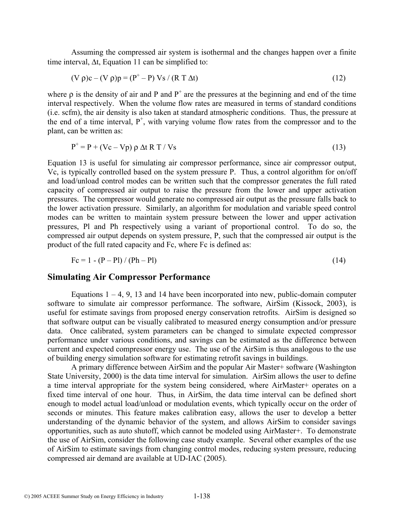Assuming the compressed air system is isothermal and the changes happen over a finite time interval, ∆t, Equation 11 can be simplified to:

$$
(V \rho)c - (V \rho)p = (P^+ - P) Vs / (R T \Delta t)
$$
\n(12)

where  $\rho$  is the density of air and P and  $P^+$  are the pressures at the beginning and end of the time interval respectively. When the volume flow rates are measured in terms of standard conditions (i.e. scfm), the air density is also taken at standard atmospheric conditions. Thus, the pressure at the end of a time interval,  $P^+$ , with varying volume flow rates from the compressor and to the plant, can be written as:

$$
P^+ = P + (Vc - Vp) \rho \Delta t R T / Vs
$$
\n(13)

Equation 13 is useful for simulating air compressor performance, since air compressor output, Vc, is typically controlled based on the system pressure P. Thus, a control algorithm for on/off and load/unload control modes can be written such that the compressor generates the full rated capacity of compressed air output to raise the pressure from the lower and upper activation pressures. The compressor would generate no compressed air output as the pressure falls back to the lower activation pressure. Similarly, an algorithm for modulation and variable speed control modes can be written to maintain system pressure between the lower and upper activation pressures, Pl and Ph respectively using a variant of proportional control. To do so, the compressed air output depends on system pressure, P, such that the compressed air output is the product of the full rated capacity and Fc, where Fc is defined as:

$$
Fc = 1 - (P - Pl) / (Ph - Pl)
$$
 (14)

#### **Simulating Air Compressor Performance**

Equations  $1 - 4$ , 9, 13 and 14 have been incorporated into new, public-domain computer software to simulate air compressor performance. The software, AirSim (Kissock, 2003), is useful for estimate savings from proposed energy conservation retrofits. AirSim is designed so that software output can be visually calibrated to measured energy consumption and/or pressure data. Once calibrated, system parameters can be changed to simulate expected compressor performance under various conditions, and savings can be estimated as the difference between current and expected compressor energy use. The use of the AirSim is thus analogous to the use of building energy simulation software for estimating retrofit savings in buildings.

A primary difference between AirSim and the popular Air Master+ software (Washington State University, 2000) is the data time interval for simulation. AirSim allows the user to define a time interval appropriate for the system being considered, where AirMaster+ operates on a fixed time interval of one hour. Thus, in AirSim, the data time interval can be defined short enough to model actual load/unload or modulation events, which typically occur on the order of seconds or minutes. This feature makes calibration easy, allows the user to develop a better understanding of the dynamic behavior of the system, and allows AirSim to consider savings opportunities, such as auto shutoff, which cannot be modeled using AirMaster+. To demonstrate the use of AirSim, consider the following case study example. Several other examples of the use of AirSim to estimate savings from changing control modes, reducing system pressure, reducing compressed air demand are available at UD-IAC (2005).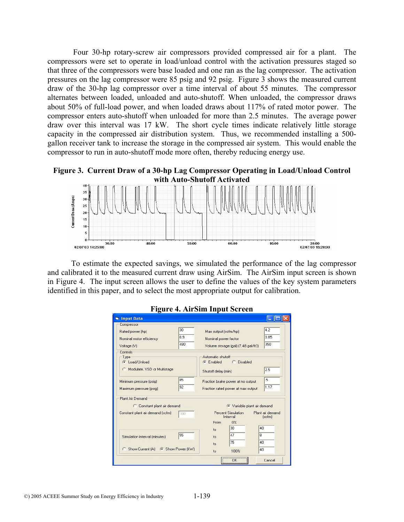Four 30-hp rotary-screw air compressors provided compressed air for a plant. The compressors were set to operate in load/unload control with the activation pressures staged so that three of the compressors were base loaded and one ran as the lag compressor. The activation pressures on the lag compressor were 85 psig and 92 psig. Figure 3 shows the measured current draw of the 30-hp lag compressor over a time interval of about 55 minutes. The compressor alternates between loaded, unloaded and auto-shutoff. When unloaded, the compressor draws about 50% of full-load power, and when loaded draws about 117% of rated motor power. The compressor enters auto-shutoff when unloaded for more than 2.5 minutes. The average power draw over this interval was 17 kW. The short cycle times indicate relatively little storage capacity in the compressed air distribution system. Thus, we recommended installing a 500 gallon receiver tank to increase the storage in the compressed air system. This would enable the compressor to run in auto-shutoff mode more often, thereby reducing energy use.

**Figure 3. Current Draw of a 30-hp Lag Compressor Operating in Load/Unload Control with Auto-Shutoff Activated** 



To estimate the expected savings, we simulated the performance of the lag compressor and calibrated it to the measured current draw using AirSim. The AirSim input screen is shown in Figure 4. The input screen allows the user to define the values of the key system parameters identified in this paper, and to select the most appropriate output for calibration.

| <b>Input Data</b>                                                                     |                  |                                                                         |                                                        |                                  |
|---------------------------------------------------------------------------------------|------------------|-------------------------------------------------------------------------|--------------------------------------------------------|----------------------------------|
| Compressor<br>Rated power [hp]<br>Nominal motor efficiency<br>Voltage [V]<br>Controls | 30<br>0.9<br>480 | Max output (scfm/hp)<br>Nominal power factor                            | Volume storage [gal] [7.48 gal/ft3]                    | 4.2<br>0.85<br>350               |
| Type<br>C Load/Unload<br>Modulate, VSD or Multistage                                  |                  | Automatic shutoff<br>C Disabled<br>C Enabled<br>Shutoff delay [min]     |                                                        | 2.5                              |
| Minimum pressure (psig)<br>Maximum pressure (psig)                                    | 85<br>92         | Fraction brake power at no output<br>Fraction rated power at max output |                                                        | .5<br>1.17                       |
| Plant Air Demand<br>C Constant plant air demand                                       |                  |                                                                         |                                                        | ← Variable plant air demand      |
| Constant plant air demand [scfm]                                                      | 100              | From                                                                    | Percent Simulation<br>Interval<br>0 <sup>2</sup><br>30 | Plant air demand<br>[scfm]<br>40 |
| Simulation interval (minutes)                                                         | 55               | to<br>to<br>to                                                          | 47<br>75                                               | 8<br>40                          |
| C Show Current [A] G Show Power [kW]                                                  |                  | to                                                                      | 100%<br><br>ΩK                                         | 40<br>Cancel                     |

# **Figure 4. AirSim Input Screen**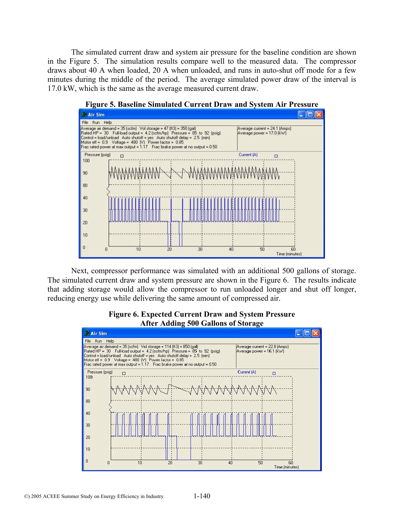The simulated current draw and system air pressure for the baseline condition are shown in the Figure 5. The simulation results compare well to the measured data. The compressor draws about 40 A when loaded, 20 A when unloaded, and runs in auto-shut off mode for a few minutes during the middle of the period. The average simulated power draw of the interval is 17.0 kW, which is the same as the average measured current draw.



**Figure 5. Baseline Simulated Current Draw and System Air Pressure** 

Next, compressor performance was simulated with an additional 500 gallons of storage. The simulated current draw and system pressure are shown in the Figure 6. The results indicate that adding storage would allow the compressor to run unloaded longer and shut off longer, reducing energy use while delivering the same amount of compressed air.



#### **Figure 6. Expected Current Draw and System Pressure After Adding 500 Gallons of Storage**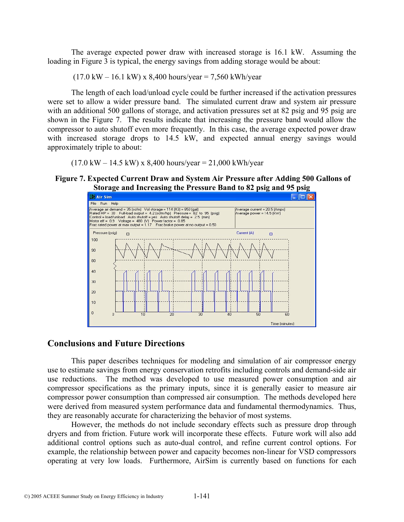The average expected power draw with increased storage is 16.1 kW. Assuming the loading in Figure 3 is typical, the energy savings from adding storage would be about:

 $(17.0 \text{ kW} - 16.1 \text{ kW}) \times 8,400 \text{ hours/year} = 7,560 \text{ kWh/year}$ 

The length of each load/unload cycle could be further increased if the activation pressures were set to allow a wider pressure band. The simulated current draw and system air pressure with an additional 500 gallons of storage, and activation pressures set at 82 psig and 95 psig are shown in the Figure 7. The results indicate that increasing the pressure band would allow the compressor to auto shutoff even more frequently. In this case, the average expected power draw with increased storage drops to 14.5 kW, and expected annual energy savings would approximately triple to about:

 $(17.0 \text{ kW} - 14.5 \text{ kW}) \times 8,400 \text{ hours/year} = 21,000 \text{ kWh/year}$ 

#### **Figure 7. Expected Current Draw and System Air Pressure after Adding 500 Gallons of Storage and Increasing the Pressure Band to 82 psig and 95 psig**



#### **Conclusions and Future Directions**

This paper describes techniques for modeling and simulation of air compressor energy use to estimate savings from energy conservation retrofits including controls and demand-side air use reductions. The method was developed to use measured power consumption and air compressor specifications as the primary inputs, since it is generally easier to measure air compressor power consumption than compressed air consumption. The methods developed here were derived from measured system performance data and fundamental thermodynamics. Thus, they are reasonably accurate for characterizing the behavior of most systems.

However, the methods do not include secondary effects such as pressure drop through dryers and from friction. Future work will incorporate these effects. Future work will also add additional control options such as auto-dual control, and refine current control options. For example, the relationship between power and capacity becomes non-linear for VSD compressors operating at very low loads. Furthermore, AirSim is currently based on functions for each